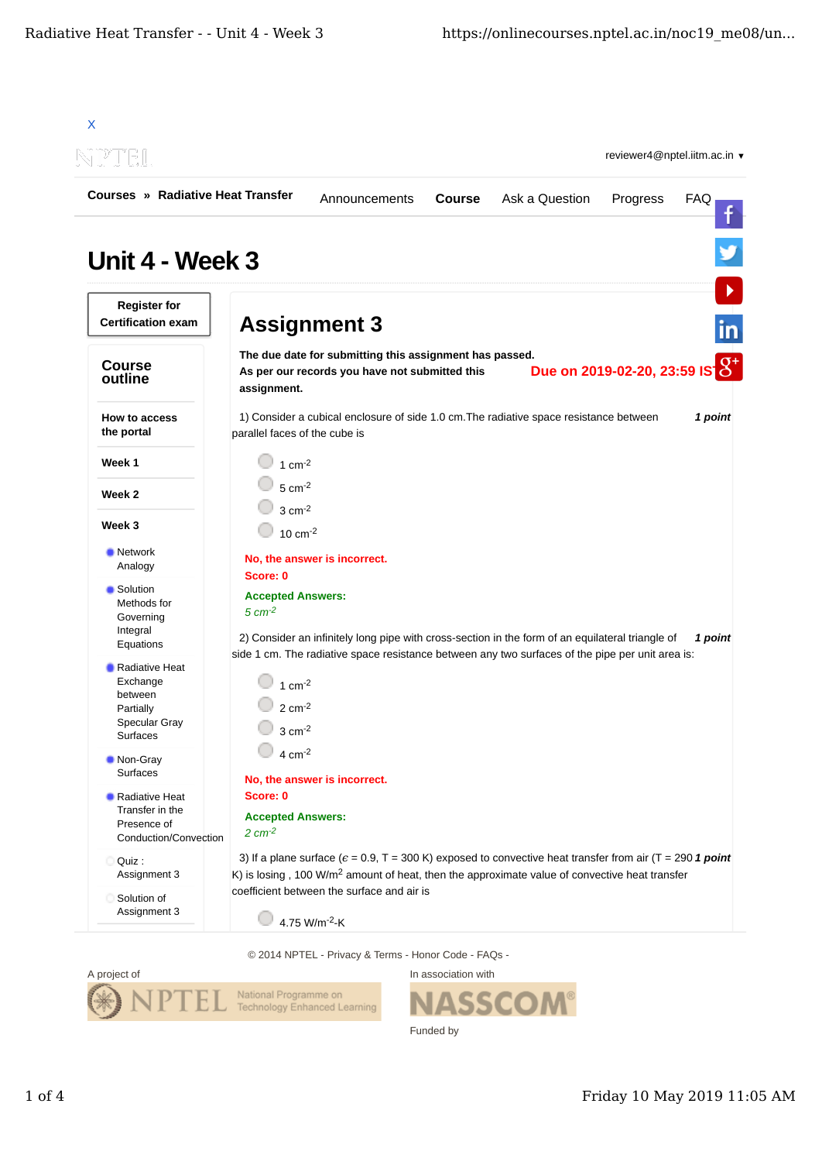

© 2014 NPTEL - Privacy & Terms - Honor Code - FAQs -



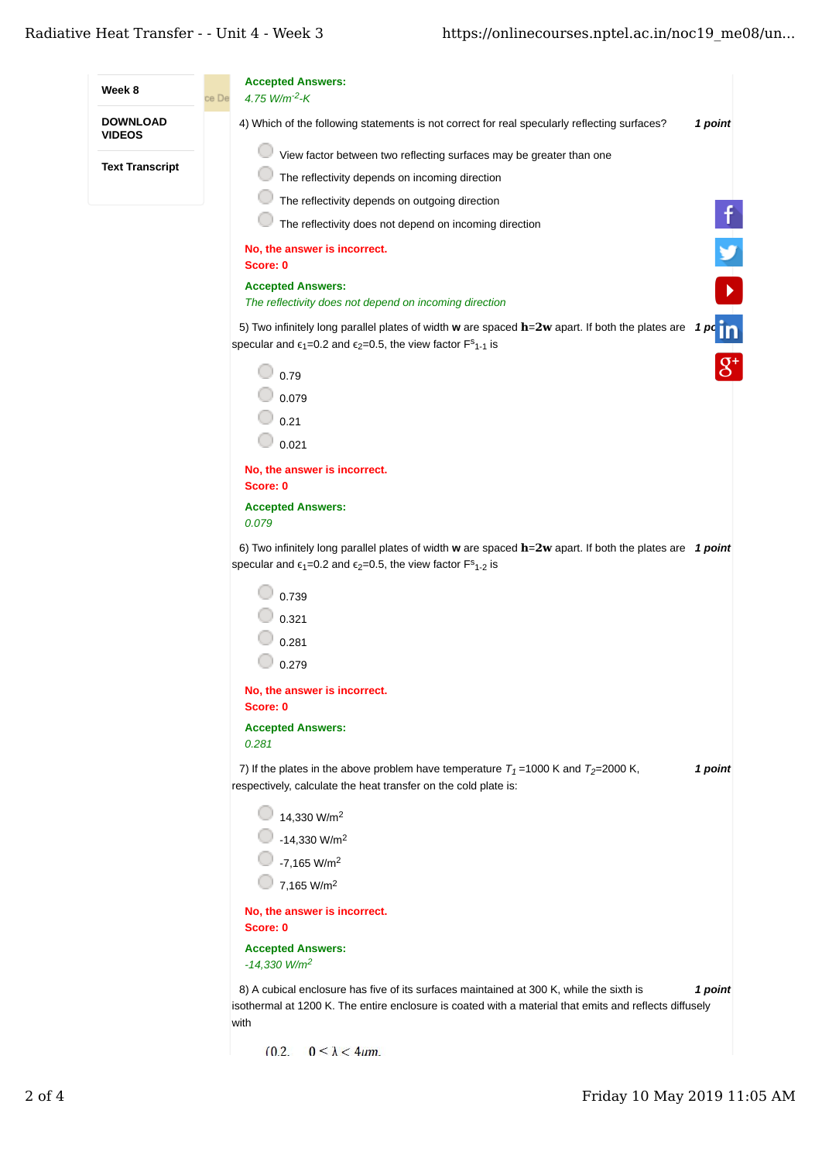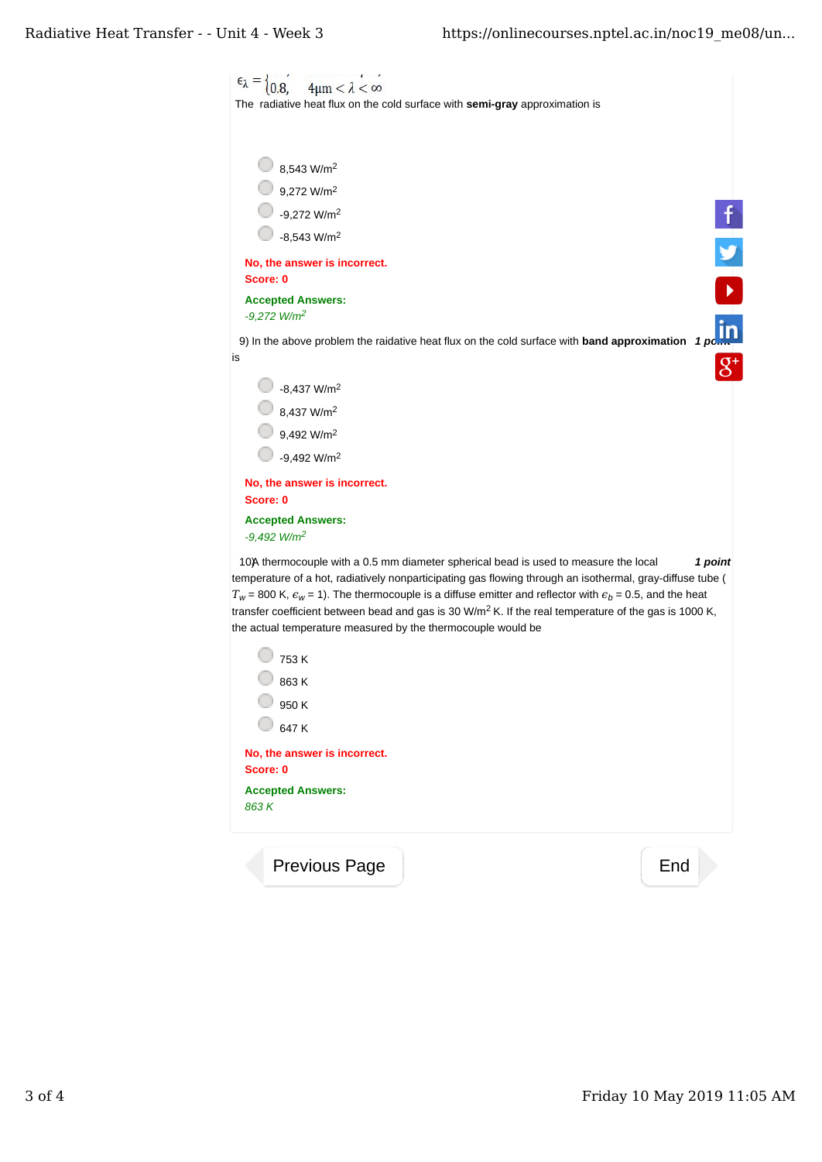